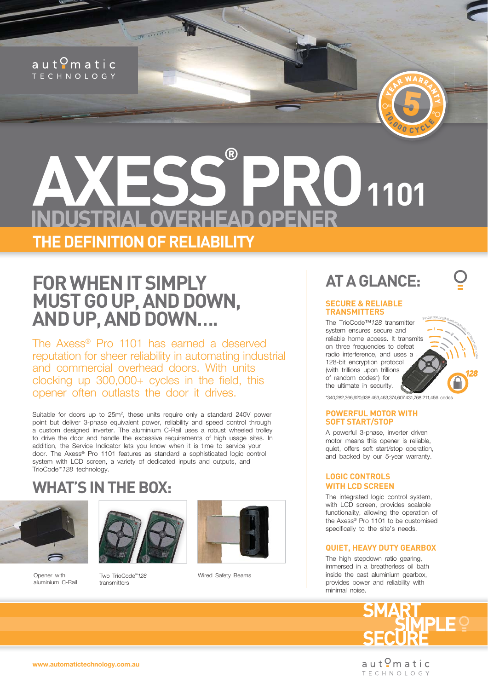#### $a$ ut $Q$ matic **TECHNOLOGY**

## **AXESS PRO1101 ® THE DEFINITION OF RELIABILITY**

## **FOR WHEN IT SIMPLY MUST GO UP, AND DOWN, AND UP, AND DOWN….**

The Axess® Pro 1101 has earned a deserved reputation for sheer reliability in automating industrial and commercial overhead doors. With units clocking up  $300,000+$  cycles in the field, this opener often outlasts the door it drives.

Suitable for doors up to  $25m^2$ , these units require only a standard  $240V$  power point but deliver 3-phase equivalent power, reliability and speed control through a custom designed inverter. The aluminium C-Rail uses a robust wheeled trolley to drive the door and handle the excessive requirements of high usage sites. In addition, the Service Indicator lets you know when it is time to service your door. The Axess® Pro 1101 features as standard a sophisticated logic control system with LCD screen, a variety of dedicated inputs and outputs, and TrioCode™*128* technology.

### **WHAT'S IN THE BOX:**







Two TrioCode™*128*  transmitters



Wired Safety Beams

### **AT A GLANCE:**

YER WARRANT

5

COO CYCLE

 $\zeta$ 

#### **SECURE & RELIABLE TRANSMITTERS**

<sup>3</sup>40,282,366,920,938,463,463,374,607,431The TrioCode™*128* transmitter system ensures secure and reliable home access. It transmits on three frequencies to defeat radio interference, and uses a 128-bit encryption protocol (with trillions upon trillions of random codes\*) for the ultimate in security.



**1**

**2**

**3**

 $\hat{3}$  $\beta$  $\mathfrak{g}$ code<br>Code

#### **POWERFUL MOTOR WITH SOFT START/STOP**

A powerful 3-phase, inverter driven motor means this opener is reliable, quiet, offers soft start/stop operation, and backed by our 5-year warranty.

#### **LOGIC CONTROLS WITH LCD SCREEN**

The integrated logic control system, with LCD screen, provides scalable functionality, allowing the operation of the Axess® Pro 1101 to be customised specifically to the site's needs.

#### **QUIET, HEAVY DUTY GEARBOX**

The high stepdown ratio gearing, immersed in a breatherless oil bath inside the cast aluminium gearbox, provides power and reliability with minimal noise.



aut<sup>o</sup>matic **TECHNOLOGY** 

**www.automatictechnology.com.au**